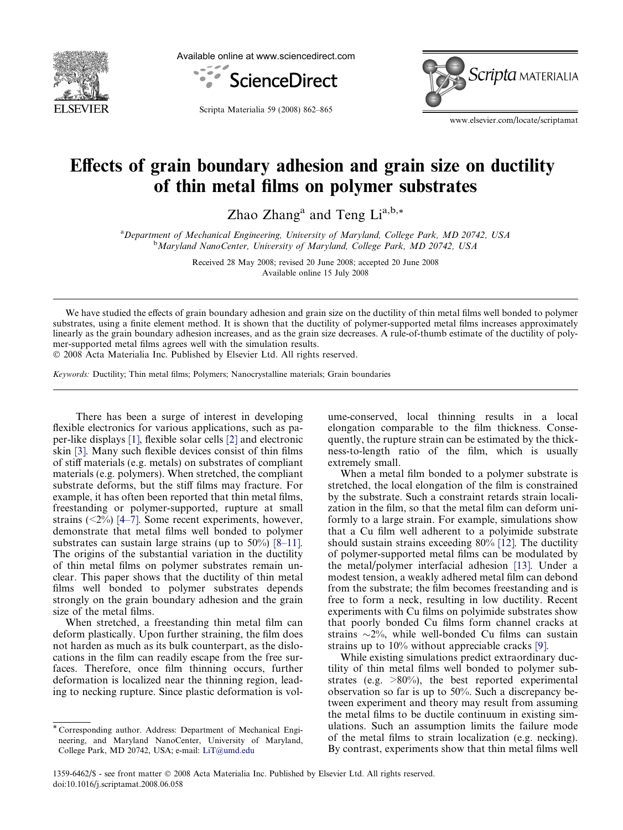

Available online at www.sciencedirect.com



Scripta Materialia 59 (2008) 862–865



www.elsevier.com/locate/scriptamat

## Effects of grain boundary adhesion and grain size on ductility of thin metal films on polymer substrates

Zhao Zhang<sup>a</sup> and Teng Li<sup>a,b,\*</sup>

<sup>a</sup> Department of Mechanical Engineering, University of Maryland, College Park, MD 20742, USA<br><sup>b</sup> Maryland NanoCenter, University of Maryland, College Park, MD 20742, USA <sup>b</sup>Maryland NanoCenter, University of Maryland, College Park, MD 20742, USA

> Received 28 May 2008; revised 20 June 2008; accepted 20 June 2008 Available online 15 July 2008

We have studied the effects of grain boundary adhesion and grain size on the ductility of thin metal films well bonded to polymer substrates, using a finite element method. It is shown that the ductility of polymer-supported metal films increases approximately linearly as the grain boundary adhesion increases, and as the grain size decreases. A rule-of-thumb estimate of the ductility of polymer-supported metal films agrees well with the simulation results.

- 2008 Acta Materialia Inc. Published by Elsevier Ltd. All rights reserved.

Keywords: Ductility; Thin metal films; Polymers; Nanocrystalline materials; Grain boundaries

There has been a surge of interest in developing flexible electronics for various applications, such as paper-like displays [\[1\]](#page-3-0), flexible solar cells [\[2\]](#page-3-0) and electronic skin [\[3\].](#page-3-0) Many such flexible devices consist of thin films of stiff materials (e.g. metals) on substrates of compliant materials (e.g. polymers). When stretched, the compliant substrate deforms, but the stiff films may fracture. For example, it has often been reported that thin metal films, freestanding or polymer-supported, rupture at small strains (<2%) [\[4–7\]](#page-3-0). Some recent experiments, however, demonstrate that metal films well bonded to polymer substrates can sustain large strains (up to 50%) [\[8–11\]](#page-3-0). The origins of the substantial variation in the ductility of thin metal films on polymer substrates remain unclear. This paper shows that the ductility of thin metal films well bonded to polymer substrates depends strongly on the grain boundary adhesion and the grain size of the metal films.

When stretched, a freestanding thin metal film can deform plastically. Upon further straining, the film does not harden as much as its bulk counterpart, as the dislocations in the film can readily escape from the free surfaces. Therefore, once film thinning occurs, further deformation is localized near the thinning region, leading to necking rupture. Since plastic deformation is vol-

ume-conserved, local thinning results in a local elongation comparable to the film thickness. Consequently, the rupture strain can be estimated by the thickness-to-length ratio of the film, which is usually extremely small.

When a metal film bonded to a polymer substrate is stretched, the local elongation of the film is constrained by the substrate. Such a constraint retards strain localization in the film, so that the metal film can deform uniformly to a large strain. For example, simulations show that a Cu film well adherent to a polyimide substrate should sustain strains exceeding  $80\%$  [\[12\].](#page-3-0) The ductility of polymer-supported metal films can be modulated by the metal/polymer interfacial adhesion [\[13\].](#page-3-0) Under a modest tension, a weakly adhered metal film can debond from the substrate; the film becomes freestanding and is free to form a neck, resulting in low ductility. Recent experiments with Cu films on polyimide substrates show that poorly bonded Cu films form channel cracks at strains  $\sim$ 2%, while well-bonded Cu films can sustain strains up to 10% without appreciable cracks [\[9\]](#page-3-0).

While existing simulations predict extraordinary ductility of thin metal films well bonded to polymer substrates (e.g.  $>80\%$ ), the best reported experimental observation so far is up to 50%. Such a discrepancy between experiment and theory may result from assuming the metal films to be ductile continuum in existing simulations. Such an assumption limits the failure mode of the metal films to strain localization (e.g. necking). By contrast, experiments show that thin metal films well

<sup>\*</sup> Corresponding author. Address: Department of Mechanical Engineering, and Maryland NanoCenter, University of Maryland, College Park, MD 20742, USA; e-mail: [LiT@umd.edu](mailto:LiT@umd.edu)

<sup>1359-6462/\$ -</sup> see front matter  $\odot$  2008 Acta Materialia Inc. Published by Elsevier Ltd. All rights reserved. doi:10.1016/j.scriptamat.2008.06.058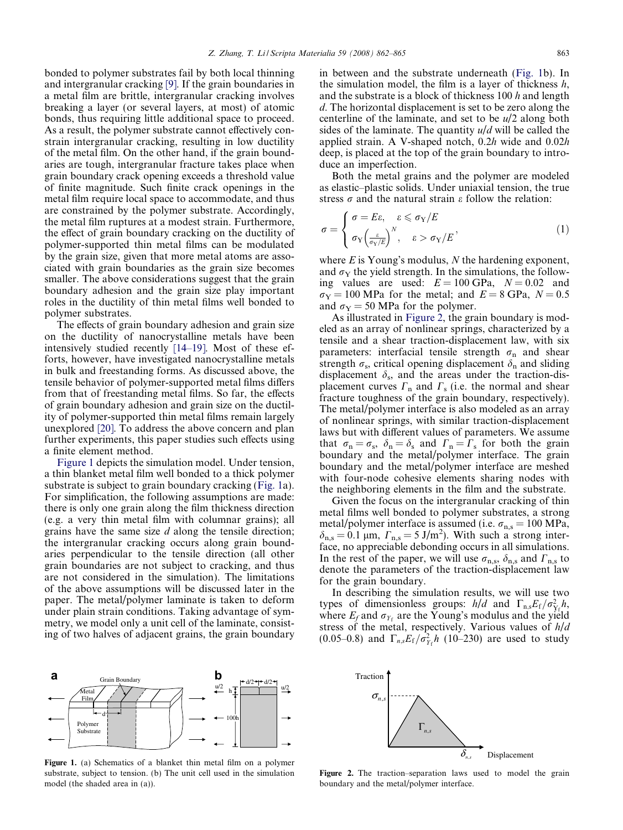bonded to polymer substrates fail by both local thinning and intergranular cracking [\[9\].](#page-3-0) If the grain boundaries in a metal film are brittle, intergranular cracking involves breaking a layer (or several layers, at most) of atomic bonds, thus requiring little additional space to proceed. As a result, the polymer substrate cannot effectively constrain intergranular cracking, resulting in low ductility of the metal film. On the other hand, if the grain boundaries are tough, intergranular fracture takes place when grain boundary crack opening exceeds a threshold value of finite magnitude. Such finite crack openings in the metal film require local space to accommodate, and thus are constrained by the polymer substrate. Accordingly, the metal film ruptures at a modest strain. Furthermore, the effect of grain boundary cracking on the ductility of polymer-supported thin metal films can be modulated by the grain size, given that more metal atoms are associated with grain boundaries as the grain size becomes smaller. The above considerations suggest that the grain boundary adhesion and the grain size play important roles in the ductility of thin metal films well bonded to polymer substrates.

The effects of grain boundary adhesion and grain size on the ductility of nanocrystalline metals have been intensively studied recently [\[14–19\]](#page-3-0). Most of these efforts, however, have investigated nanocrystalline metals in bulk and freestanding forms. As discussed above, the tensile behavior of polymer-supported metal films differs from that of freestanding metal films. So far, the effects of grain boundary adhesion and grain size on the ductility of polymer-supported thin metal films remain largely unexplored [\[20\].](#page-3-0) To address the above concern and plan further experiments, this paper studies such effects using a finite element method.

Figure 1 depicts the simulation model. Under tension, a thin blanket metal film well bonded to a thick polymer substrate is subject to grain boundary cracking (Fig. 1a). For simplification, the following assumptions are made: there is only one grain along the film thickness direction (e.g. a very thin metal film with columnar grains); all grains have the same size  $d$  along the tensile direction; the intergranular cracking occurs along grain boundaries perpendicular to the tensile direction (all other grain boundaries are not subject to cracking, and thus are not considered in the simulation). The limitations of the above assumptions will be discussed later in the paper. The metal/polymer laminate is taken to deform under plain strain conditions. Taking advantage of symmetry, we model only a unit cell of the laminate, consisting of two halves of adjacent grains, the grain boundary in between and the substrate underneath (Fig. 1b). In the simulation model, the film is a layer of thickness  $h$ , and the substrate is a block of thickness 100 h and length d. The horizontal displacement is set to be zero along the centerline of the laminate, and set to be  $u/2$  along both sides of the laminate. The quantity  $u/d$  will be called the applied strain. A V-shaped notch, 0.2h wide and 0.02h deep, is placed at the top of the grain boundary to introduce an imperfection.

Both the metal grains and the polymer are modeled as elastic–plastic solids. Under uniaxial tension, the true stress  $\sigma$  and the natural strain  $\varepsilon$  follow the relation:

$$
\sigma = \begin{cases}\n\sigma = E\varepsilon, & \varepsilon \leq \sigma_{\rm Y}/E \\
\sigma_{\rm Y} \left( \frac{\varepsilon}{\sigma_{\rm Y}/E} \right)^N, & \varepsilon > \sigma_{\rm Y}/E\n\end{cases}
$$
\n(1)

where  $E$  is Young's modulus,  $N$  the hardening exponent, and  $\sigma_Y$  the yield strength. In the simulations, the following values are used:  $E = 100 \text{ GPa}$ ,  $N = 0.02$  and  $\sigma_Y = 100$  MPa for the metal; and  $E = 8$  GPa,  $N = 0.5$ and  $\sigma_Y = 50$  MPa for the polymer.

As illustrated in Figure 2, the grain boundary is modeled as an array of nonlinear springs, characterized by a tensile and a shear traction-displacement law, with six parameters: interfacial tensile strength  $\sigma_{\rm n}$  and shear strength  $\sigma_s$ , critical opening displacement  $\delta_n$  and sliding displacement  $\delta_{\rm s}$ , and the areas under the traction-displacement curves  $\Gamma_n$  and  $\Gamma_s$  (i.e. the normal and shear fracture toughness of the grain boundary, respectively). The metal/polymer interface is also modeled as an array of nonlinear springs, with similar traction-displacement laws but with different values of parameters. We assume that  $\sigma_n = \sigma_s$ ,  $\delta_n = \delta_s$  and  $\Gamma_n = \Gamma_s$  for both the grain boundary and the metal/polymer interface. The grain boundary and the metal/polymer interface are meshed with four-node cohesive elements sharing nodes with the neighboring elements in the film and the substrate.

Given the focus on the intergranular cracking of thin metal films well bonded to polymer substrates, a strong metal/polymer interface is assumed (i.e.  $\sigma_{\text{n.s}} = 100 \text{ MPa}$ ,  $\delta_{\rm n,s} = 0.1$  µm,  $\Gamma_{\rm n,s} = 5$  J/m<sup>2</sup>). With such a strong interface, no appreciable debonding occurs in all simulations. In the rest of the paper, we will use  $\sigma_{n,s}$ ,  $\delta_{n,s}$  and  $\Gamma_{n,s}$  to denote the parameters of the traction-displacement law for the grain boundary.

In describing the simulation results, we will use two types of dimensionless groups:  $h/d$  and  $\Gamma_{\text{n,s}} E_f/\sigma_{Y_f}^2 h$ , where  $E_f$  and  $\sigma_{Y_f}$  are the Young's modulus and the yield stress of the metal, respectively. Various values of h/d (0.05–0.8) and  $\Gamma_{n,s} E_f / \sigma_{Y_f}^2 h$  (10–230) are used to study



Figure 1. (a) Schematics of a blanket thin metal film on a polymer substrate, subject to tension. (b) The unit cell used in the simulation model (the shaded area in (a)).



Figure 2. The traction–separation laws used to model the grain boundary and the metal/polymer interface.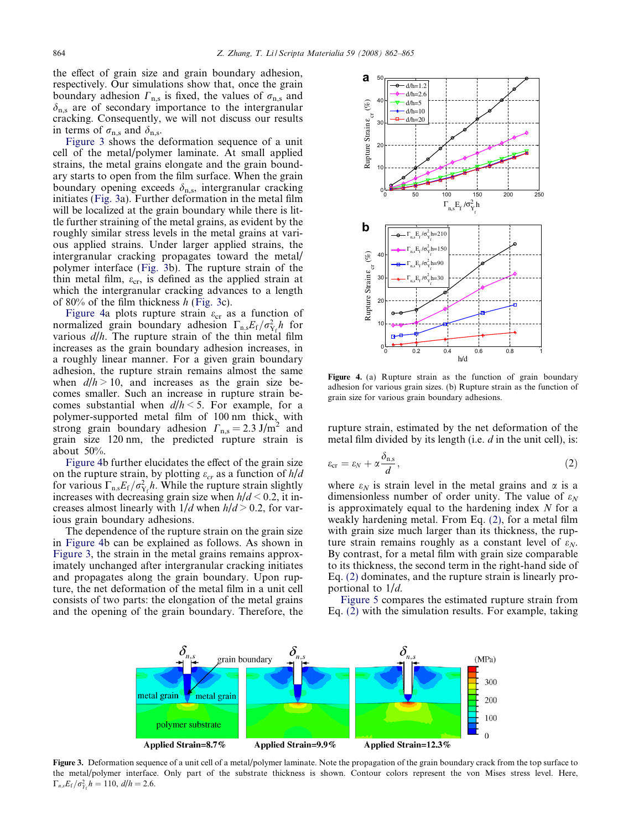<span id="page-2-0"></span>the effect of grain size and grain boundary adhesion, respectively. Our simulations show that, once the grain boundary adhesion  $\Gamma_{\text{n,s}}$  is fixed, the values of  $\sigma_{\text{n,s}}$  and  $\delta_{\text{n.s}}$  are of secondary importance to the intergranular cracking. Consequently, we will not discuss our results in terms of  $\sigma_{n,s}$  and  $\delta_{n,s}$ .

Figure 3 shows the deformation sequence of a unit cell of the metal/polymer laminate. At small applied strains, the metal grains elongate and the grain boundary starts to open from the film surface. When the grain boundary opening exceeds  $\delta_{n,s}$ , intergranular cracking initiates (Fig. 3a). Further deformation in the metal film will be localized at the grain boundary while there is little further straining of the metal grains, as evident by the roughly similar stress levels in the metal grains at various applied strains. Under larger applied strains, the intergranular cracking propagates toward the metal/ polymer interface (Fig. 3b). The rupture strain of the thin metal film,  $\varepsilon_{cr}$ , is defined as the applied strain at which the intergranular cracking advances to a length of 80% of the film thickness  $h$  (Fig. 3c).

Figure 4a plots rupture strain  $\varepsilon_{cr}$  as a function of normalized grain boundary adhesion  $\Gamma_{\text{n,s}} E_f / \sigma_{Y_f}^2 h$  for various  $d/h$ . The rupture strain of the thin metal film increases as the grain boundary adhesion increases, in a roughly linear manner. For a given grain boundary adhesion, the rupture strain remains almost the same when  $d/h > 10$ , and increases as the grain size becomes smaller. Such an increase in rupture strain becomes substantial when  $d/h < 5$ . For example, for a polymer-supported metal film of 100 nm thick, with strong grain boundary adhesion  $\Gamma_{\text{n,s}} = 2.3 \text{ J/m}^2$  and grain size 120 nm, the predicted rupture strain is about 50%.

Figure 4b further elucidates the effect of the grain size on the rupture strain, by plotting  $\varepsilon_{cr}$  as a function of  $h/d$ for various  $\Gamma_{\text{n},s} E_f / \sigma_{Y_f}^2 h$ . While the rupture strain slightly increases with decreasing grain size when  $h/d < 0.2$ , it increases almost linearly with  $1/d$  when  $h/d > 0.2$ , for various grain boundary adhesions.

The dependence of the rupture strain on the grain size in Figure 4b can be explained as follows. As shown in Figure 3, the strain in the metal grains remains approximately unchanged after intergranular cracking initiates and propagates along the grain boundary. Upon rupture, the net deformation of the metal film in a unit cell consists of two parts: the elongation of the metal grains and the opening of the grain boundary. Therefore, the



Figure 4. (a) Rupture strain as the function of grain boundary adhesion for various grain sizes. (b) Rupture strain as the function of grain size for various grain boundary adhesions.

rupture strain, estimated by the net deformation of the metal film divided by its length (i.e.  $d$  in the unit cell), is:

$$
\varepsilon_{\rm cr} = \varepsilon_N + \alpha \frac{\delta_{\rm n,s}}{d},\tag{2}
$$

where  $\varepsilon_N$  is strain level in the metal grains and  $\alpha$  is a dimensionless number of order unity. The value of  $\varepsilon_N$ is approximately equal to the hardening index N for a weakly hardening metal. From Eq. (2), for a metal film with grain size much larger than its thickness, the rupture strain remains roughly as a constant level of  $\varepsilon_N$ . By contrast, for a metal film with grain size comparable to its thickness, the second term in the right-hand side of Eq. (2) dominates, and the rupture strain is linearly proportional to 1/d.

[Figure 5](#page-3-0) compares the estimated rupture strain from Eq. (2) with the simulation results. For example, taking



Figure 3. Deformation sequence of a unit cell of a metal/polymer laminate. Note the propagation of the grain boundary crack from the top surface to the metal/polymer interface. Only part of the substrate thickness is shown. Contour colors represent the von Mises stress level. Here,  $\Gamma_{n,s} E_f / \sigma_{Y_f}^2 h = 110, \ d/h = 2.6.$